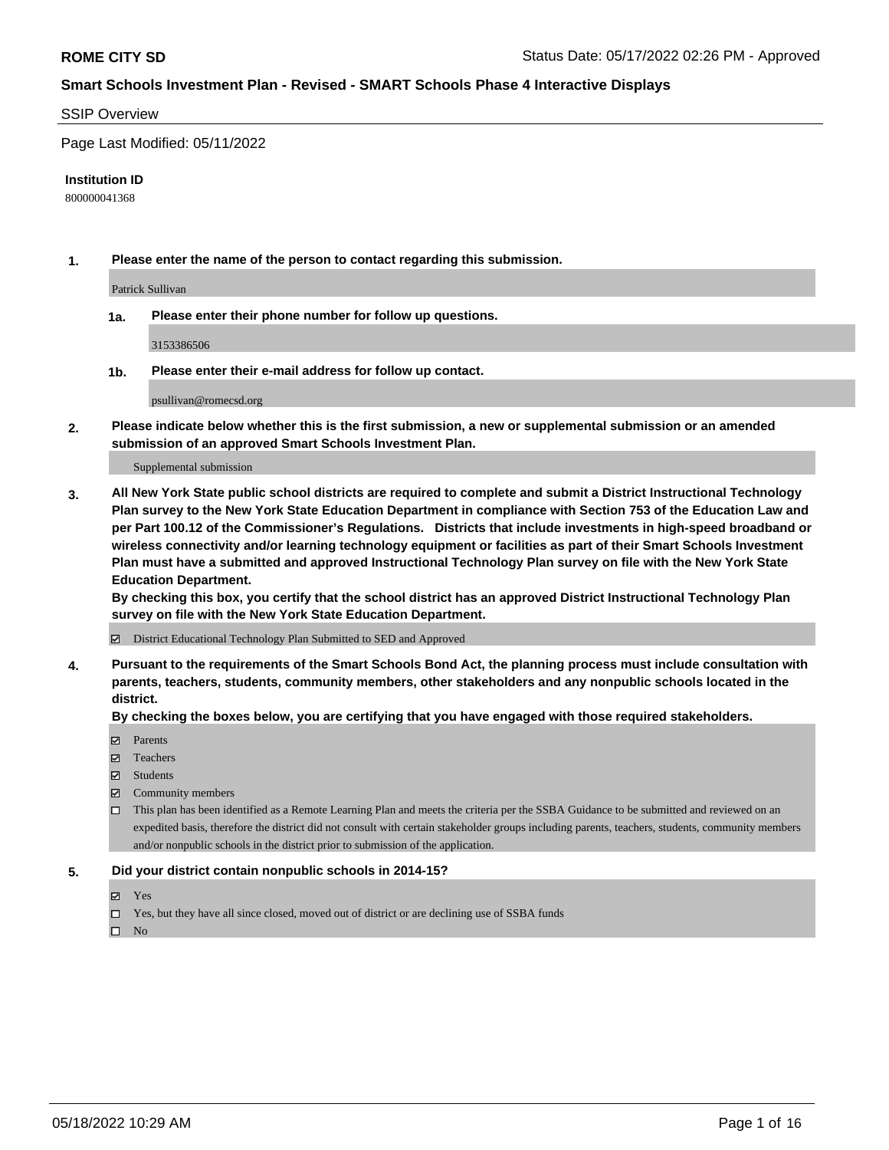#### SSIP Overview

Page Last Modified: 05/11/2022

#### **Institution ID**

800000041368

**1. Please enter the name of the person to contact regarding this submission.**

Patrick Sullivan

**1a. Please enter their phone number for follow up questions.**

3153386506

**1b. Please enter their e-mail address for follow up contact.**

psullivan@romecsd.org

**2. Please indicate below whether this is the first submission, a new or supplemental submission or an amended submission of an approved Smart Schools Investment Plan.**

Supplemental submission

**3. All New York State public school districts are required to complete and submit a District Instructional Technology Plan survey to the New York State Education Department in compliance with Section 753 of the Education Law and per Part 100.12 of the Commissioner's Regulations. Districts that include investments in high-speed broadband or wireless connectivity and/or learning technology equipment or facilities as part of their Smart Schools Investment Plan must have a submitted and approved Instructional Technology Plan survey on file with the New York State Education Department.** 

**By checking this box, you certify that the school district has an approved District Instructional Technology Plan survey on file with the New York State Education Department.**

District Educational Technology Plan Submitted to SED and Approved

**4. Pursuant to the requirements of the Smart Schools Bond Act, the planning process must include consultation with parents, teachers, students, community members, other stakeholders and any nonpublic schools located in the district.** 

**By checking the boxes below, you are certifying that you have engaged with those required stakeholders.**

- **□** Parents
- Teachers
- Students
- $\Xi$  Community members
- This plan has been identified as a Remote Learning Plan and meets the criteria per the SSBA Guidance to be submitted and reviewed on an expedited basis, therefore the district did not consult with certain stakeholder groups including parents, teachers, students, community members and/or nonpublic schools in the district prior to submission of the application.

#### **5. Did your district contain nonpublic schools in 2014-15?**

- Yes
- $\Box$  Yes, but they have all since closed, moved out of district or are declining use of SSBA funds

 $\square$  No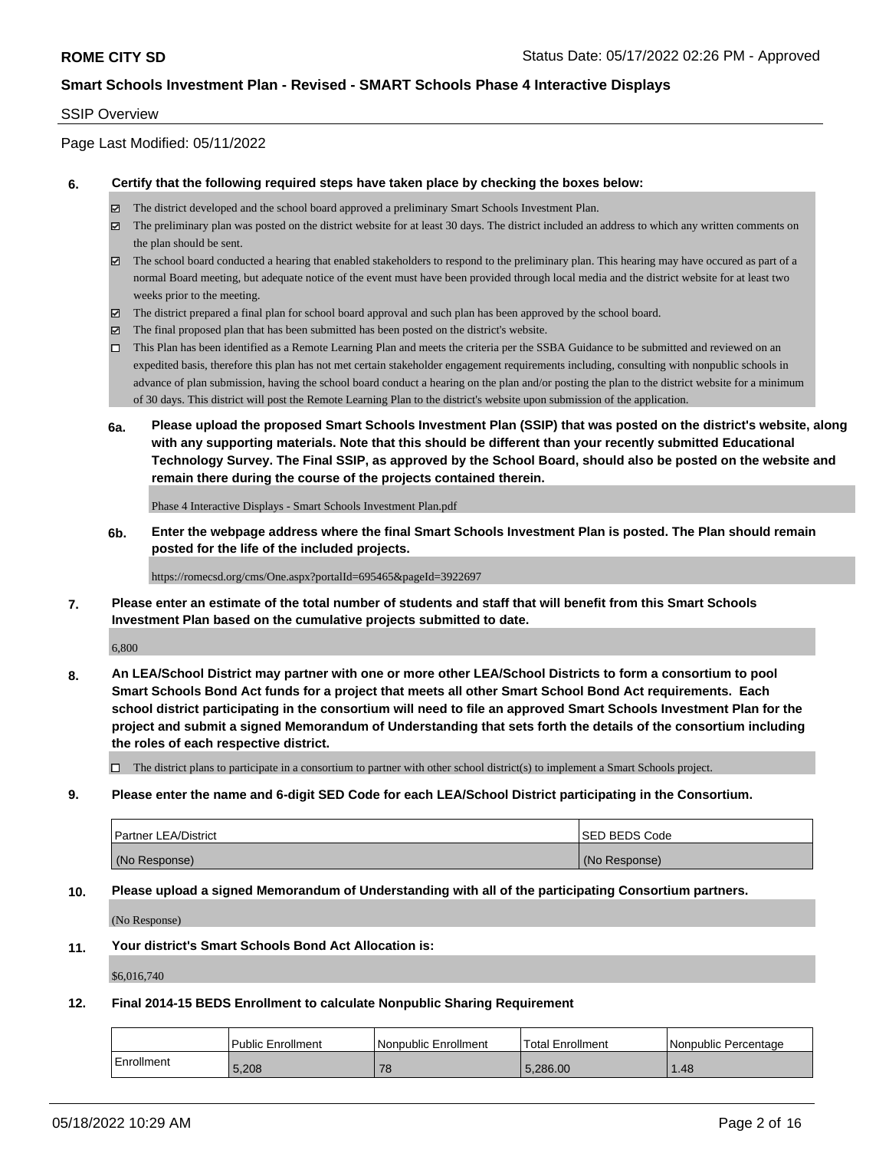### SSIP Overview

Page Last Modified: 05/11/2022

### **6. Certify that the following required steps have taken place by checking the boxes below:**

- The district developed and the school board approved a preliminary Smart Schools Investment Plan.
- $\boxtimes$  The preliminary plan was posted on the district website for at least 30 days. The district included an address to which any written comments on the plan should be sent.
- $\boxtimes$  The school board conducted a hearing that enabled stakeholders to respond to the preliminary plan. This hearing may have occured as part of a normal Board meeting, but adequate notice of the event must have been provided through local media and the district website for at least two weeks prior to the meeting.
- The district prepared a final plan for school board approval and such plan has been approved by the school board.
- $\boxtimes$  The final proposed plan that has been submitted has been posted on the district's website.
- This Plan has been identified as a Remote Learning Plan and meets the criteria per the SSBA Guidance to be submitted and reviewed on an expedited basis, therefore this plan has not met certain stakeholder engagement requirements including, consulting with nonpublic schools in advance of plan submission, having the school board conduct a hearing on the plan and/or posting the plan to the district website for a minimum of 30 days. This district will post the Remote Learning Plan to the district's website upon submission of the application.
- **6a. Please upload the proposed Smart Schools Investment Plan (SSIP) that was posted on the district's website, along with any supporting materials. Note that this should be different than your recently submitted Educational Technology Survey. The Final SSIP, as approved by the School Board, should also be posted on the website and remain there during the course of the projects contained therein.**

Phase 4 Interactive Displays - Smart Schools Investment Plan.pdf

**6b. Enter the webpage address where the final Smart Schools Investment Plan is posted. The Plan should remain posted for the life of the included projects.**

https://romecsd.org/cms/One.aspx?portalId=695465&pageId=3922697

**7. Please enter an estimate of the total number of students and staff that will benefit from this Smart Schools Investment Plan based on the cumulative projects submitted to date.**

6,800

**8. An LEA/School District may partner with one or more other LEA/School Districts to form a consortium to pool Smart Schools Bond Act funds for a project that meets all other Smart School Bond Act requirements. Each school district participating in the consortium will need to file an approved Smart Schools Investment Plan for the project and submit a signed Memorandum of Understanding that sets forth the details of the consortium including the roles of each respective district.**

 $\Box$  The district plans to participate in a consortium to partner with other school district(s) to implement a Smart Schools project.

**9. Please enter the name and 6-digit SED Code for each LEA/School District participating in the Consortium.**

| <b>Partner LEA/District</b> | <b>ISED BEDS Code</b> |
|-----------------------------|-----------------------|
| (No Response)               | (No Response)         |

### **10. Please upload a signed Memorandum of Understanding with all of the participating Consortium partners.**

(No Response)

#### **11. Your district's Smart Schools Bond Act Allocation is:**

\$6,016,740

#### **12. Final 2014-15 BEDS Enrollment to calculate Nonpublic Sharing Requirement**

|            | <b>Public Enrollment</b> | l Nonpublic Enrollment | <b>Total Enrollment</b> | l Nonpublic Percentage |
|------------|--------------------------|------------------------|-------------------------|------------------------|
| Enrollment | 5,208                    | 78                     | 5.286.00                | .48                    |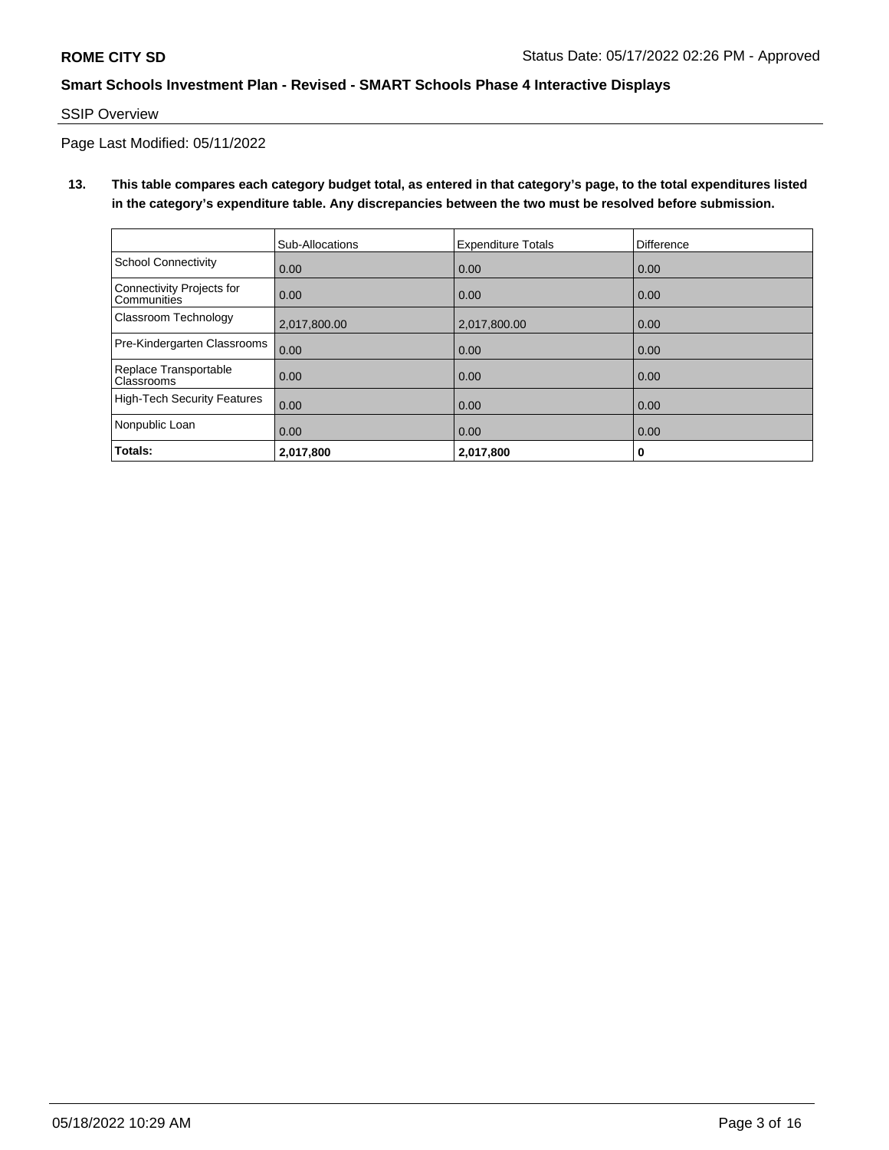# SSIP Overview

Page Last Modified: 05/11/2022

**13. This table compares each category budget total, as entered in that category's page, to the total expenditures listed in the category's expenditure table. Any discrepancies between the two must be resolved before submission.**

|                                            | Sub-Allocations | <b>Expenditure Totals</b> | <b>Difference</b> |
|--------------------------------------------|-----------------|---------------------------|-------------------|
| <b>School Connectivity</b>                 | 0.00            | 0.00                      | 0.00              |
| Connectivity Projects for<br>Communities   | 0.00            | 0.00                      | 0.00              |
| Classroom Technology                       | 2,017,800.00    | 2,017,800.00              | 0.00              |
| Pre-Kindergarten Classrooms                | 0.00            | 0.00                      | 0.00              |
| Replace Transportable<br><b>Classrooms</b> | 0.00            | 0.00                      | 0.00              |
| <b>High-Tech Security Features</b>         | 0.00            | 0.00                      | 0.00              |
| Nonpublic Loan                             | 0.00            | 0.00                      | 0.00              |
| Totals:                                    | 2,017,800       | 2,017,800                 | 0                 |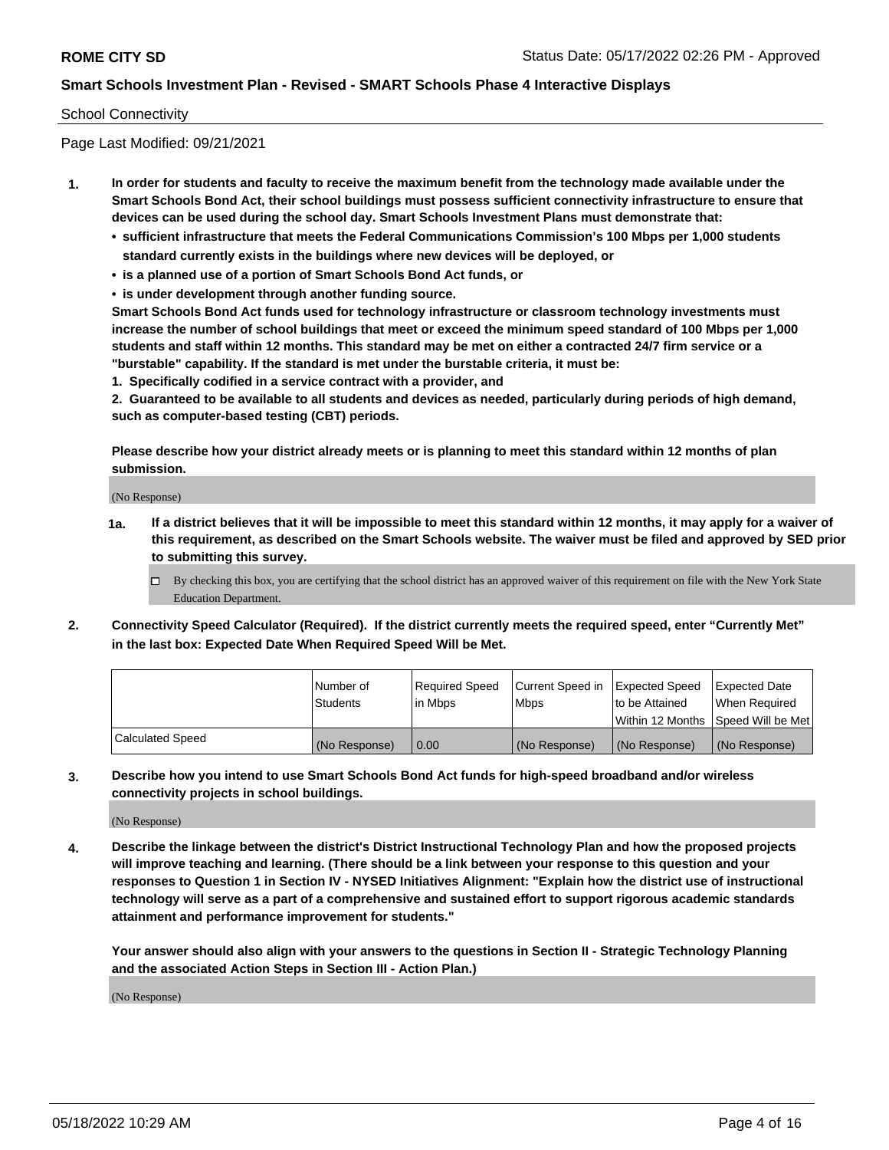### School Connectivity

Page Last Modified: 09/21/2021

- **1. In order for students and faculty to receive the maximum benefit from the technology made available under the Smart Schools Bond Act, their school buildings must possess sufficient connectivity infrastructure to ensure that devices can be used during the school day. Smart Schools Investment Plans must demonstrate that:**
	- **• sufficient infrastructure that meets the Federal Communications Commission's 100 Mbps per 1,000 students standard currently exists in the buildings where new devices will be deployed, or**
	- **• is a planned use of a portion of Smart Schools Bond Act funds, or**
	- **• is under development through another funding source.**

**Smart Schools Bond Act funds used for technology infrastructure or classroom technology investments must increase the number of school buildings that meet or exceed the minimum speed standard of 100 Mbps per 1,000 students and staff within 12 months. This standard may be met on either a contracted 24/7 firm service or a "burstable" capability. If the standard is met under the burstable criteria, it must be:**

**1. Specifically codified in a service contract with a provider, and**

**2. Guaranteed to be available to all students and devices as needed, particularly during periods of high demand, such as computer-based testing (CBT) periods.**

**Please describe how your district already meets or is planning to meet this standard within 12 months of plan submission.**

(No Response)

- **1a. If a district believes that it will be impossible to meet this standard within 12 months, it may apply for a waiver of this requirement, as described on the Smart Schools website. The waiver must be filed and approved by SED prior to submitting this survey.**
	- By checking this box, you are certifying that the school district has an approved waiver of this requirement on file with the New York State Education Department.
- **2. Connectivity Speed Calculator (Required). If the district currently meets the required speed, enter "Currently Met" in the last box: Expected Date When Required Speed Will be Met.**

|                         | l Number of     | Required Speed | Current Speed in   Expected Speed |                                      | Expected Date |
|-------------------------|-----------------|----------------|-----------------------------------|--------------------------------------|---------------|
|                         | <b>Students</b> | lin Mbps       | <b>Mbps</b>                       | to be Attained                       | When Required |
|                         |                 |                |                                   | Within 12 Months   Speed Will be Met |               |
| <b>Calculated Speed</b> | (No Response)   | 0.00           | (No Response)                     | (No Response)                        | (No Response) |

**3. Describe how you intend to use Smart Schools Bond Act funds for high-speed broadband and/or wireless connectivity projects in school buildings.**

(No Response)

**4. Describe the linkage between the district's District Instructional Technology Plan and how the proposed projects will improve teaching and learning. (There should be a link between your response to this question and your responses to Question 1 in Section IV - NYSED Initiatives Alignment: "Explain how the district use of instructional technology will serve as a part of a comprehensive and sustained effort to support rigorous academic standards attainment and performance improvement for students."** 

**Your answer should also align with your answers to the questions in Section II - Strategic Technology Planning and the associated Action Steps in Section III - Action Plan.)**

(No Response)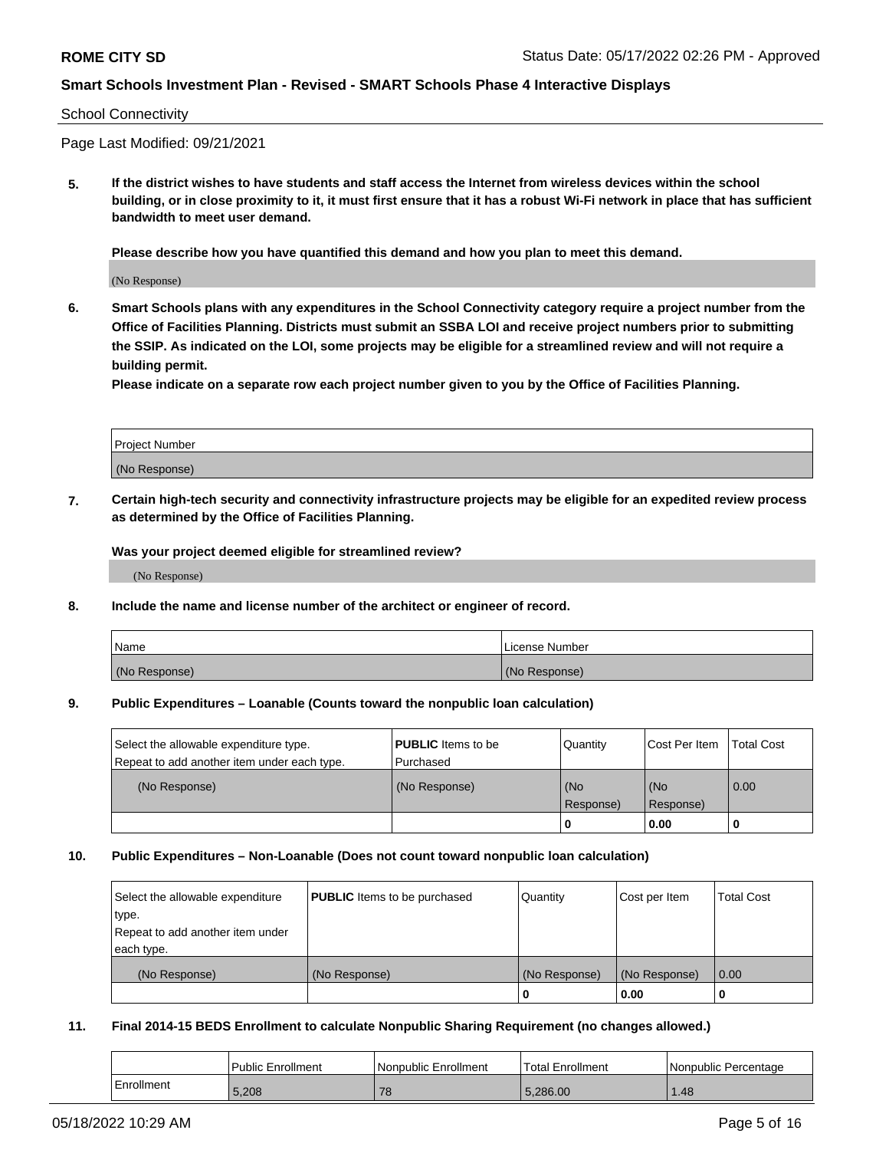#### School Connectivity

Page Last Modified: 09/21/2021

**5. If the district wishes to have students and staff access the Internet from wireless devices within the school building, or in close proximity to it, it must first ensure that it has a robust Wi-Fi network in place that has sufficient bandwidth to meet user demand.**

**Please describe how you have quantified this demand and how you plan to meet this demand.**

(No Response)

**6. Smart Schools plans with any expenditures in the School Connectivity category require a project number from the Office of Facilities Planning. Districts must submit an SSBA LOI and receive project numbers prior to submitting the SSIP. As indicated on the LOI, some projects may be eligible for a streamlined review and will not require a building permit.**

**Please indicate on a separate row each project number given to you by the Office of Facilities Planning.**

| <b>Project Number</b> |  |
|-----------------------|--|
| (No Response)         |  |

**7. Certain high-tech security and connectivity infrastructure projects may be eligible for an expedited review process as determined by the Office of Facilities Planning.**

**Was your project deemed eligible for streamlined review?**

(No Response)

#### **8. Include the name and license number of the architect or engineer of record.**

| Name          | I License Number |
|---------------|------------------|
| (No Response) | (No Response)    |

#### **9. Public Expenditures – Loanable (Counts toward the nonpublic loan calculation)**

| Select the allowable expenditure type.<br>Repeat to add another item under each type. | <b>PUBLIC</b> Items to be<br>l Purchased | Quantity         | Cost Per Item    | <b>Total Cost</b> |
|---------------------------------------------------------------------------------------|------------------------------------------|------------------|------------------|-------------------|
| (No Response)                                                                         | (No Response)                            | (No<br>Response) | (No<br>Response) | 0.00              |
|                                                                                       |                                          | -0               | 0.00             |                   |

### **10. Public Expenditures – Non-Loanable (Does not count toward nonpublic loan calculation)**

| Select the allowable expenditure | <b>PUBLIC</b> Items to be purchased | Quantity      | Cost per Item | <b>Total Cost</b> |
|----------------------------------|-------------------------------------|---------------|---------------|-------------------|
| type.                            |                                     |               |               |                   |
| Repeat to add another item under |                                     |               |               |                   |
| each type.                       |                                     |               |               |                   |
| (No Response)                    | (No Response)                       | (No Response) | (No Response) | 0.00              |
|                                  |                                     | U             | 0.00          |                   |

### **11. Final 2014-15 BEDS Enrollment to calculate Nonpublic Sharing Requirement (no changes allowed.)**

|            | <b>Public Enrollment</b> | Nonpublic Enrollment | Total Enrollment | Nonpublic Percentage |
|------------|--------------------------|----------------------|------------------|----------------------|
| Enrollment | 5.208                    | 78                   | 5.286.00         | .48                  |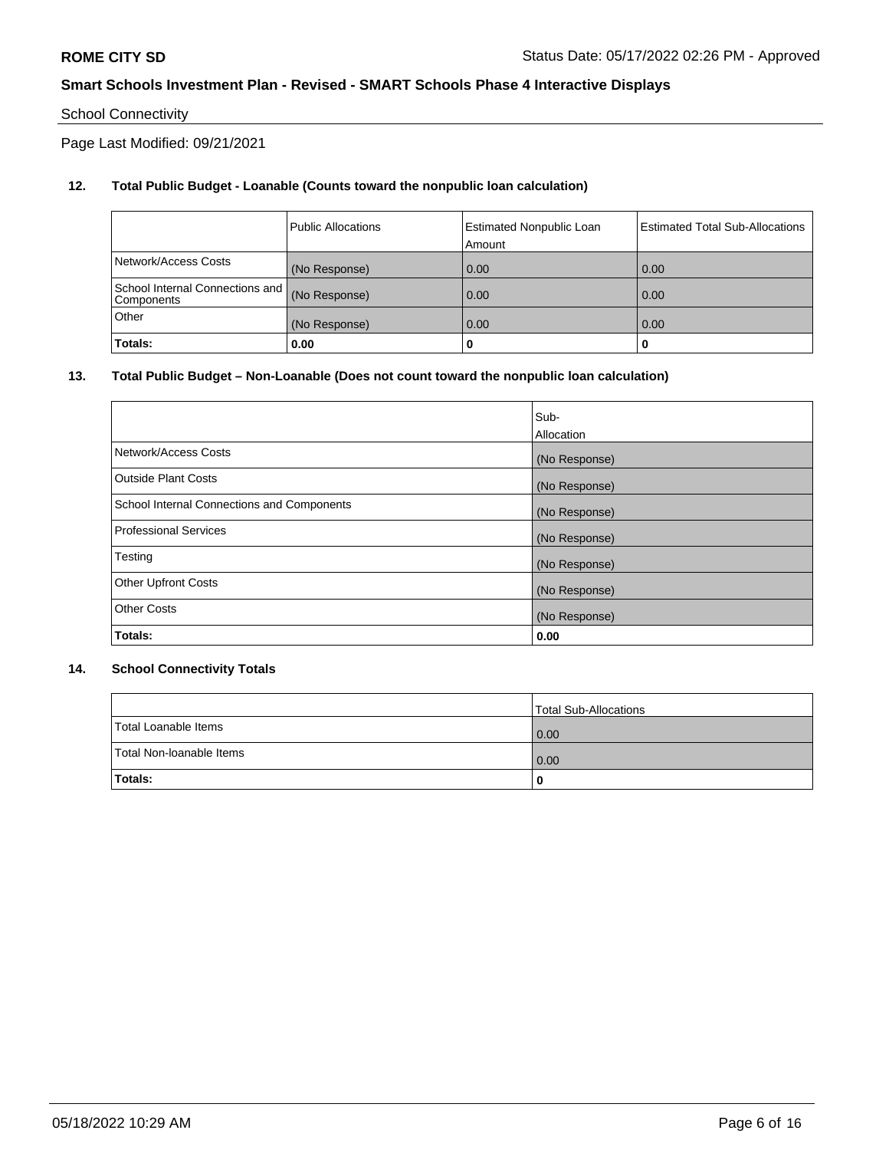# School Connectivity

Page Last Modified: 09/21/2021

# **12. Total Public Budget - Loanable (Counts toward the nonpublic loan calculation)**

|                                               | <b>Public Allocations</b> | <b>Estimated Nonpublic Loan</b><br>Amount | Estimated Total Sub-Allocations |
|-----------------------------------------------|---------------------------|-------------------------------------------|---------------------------------|
| Network/Access Costs                          | (No Response)             | 0.00                                      | 0.00                            |
| School Internal Connections and<br>Components | (No Response)             | 0.00                                      | 0.00                            |
| Other                                         | (No Response)             | 0.00                                      | 0.00                            |
| Totals:                                       | 0.00                      |                                           | 0                               |

# **13. Total Public Budget – Non-Loanable (Does not count toward the nonpublic loan calculation)**

|                                            | Sub-          |
|--------------------------------------------|---------------|
|                                            | Allocation    |
| Network/Access Costs                       | (No Response) |
| <b>Outside Plant Costs</b>                 | (No Response) |
| School Internal Connections and Components | (No Response) |
| <b>Professional Services</b>               | (No Response) |
| Testing                                    | (No Response) |
| <b>Other Upfront Costs</b>                 | (No Response) |
| <b>Other Costs</b>                         | (No Response) |
| Totals:                                    | 0.00          |

# **14. School Connectivity Totals**

|                          | Total Sub-Allocations |
|--------------------------|-----------------------|
| Total Loanable Items     | 0.00                  |
| Total Non-Ioanable Items | 0.00                  |
| Totals:                  | 0                     |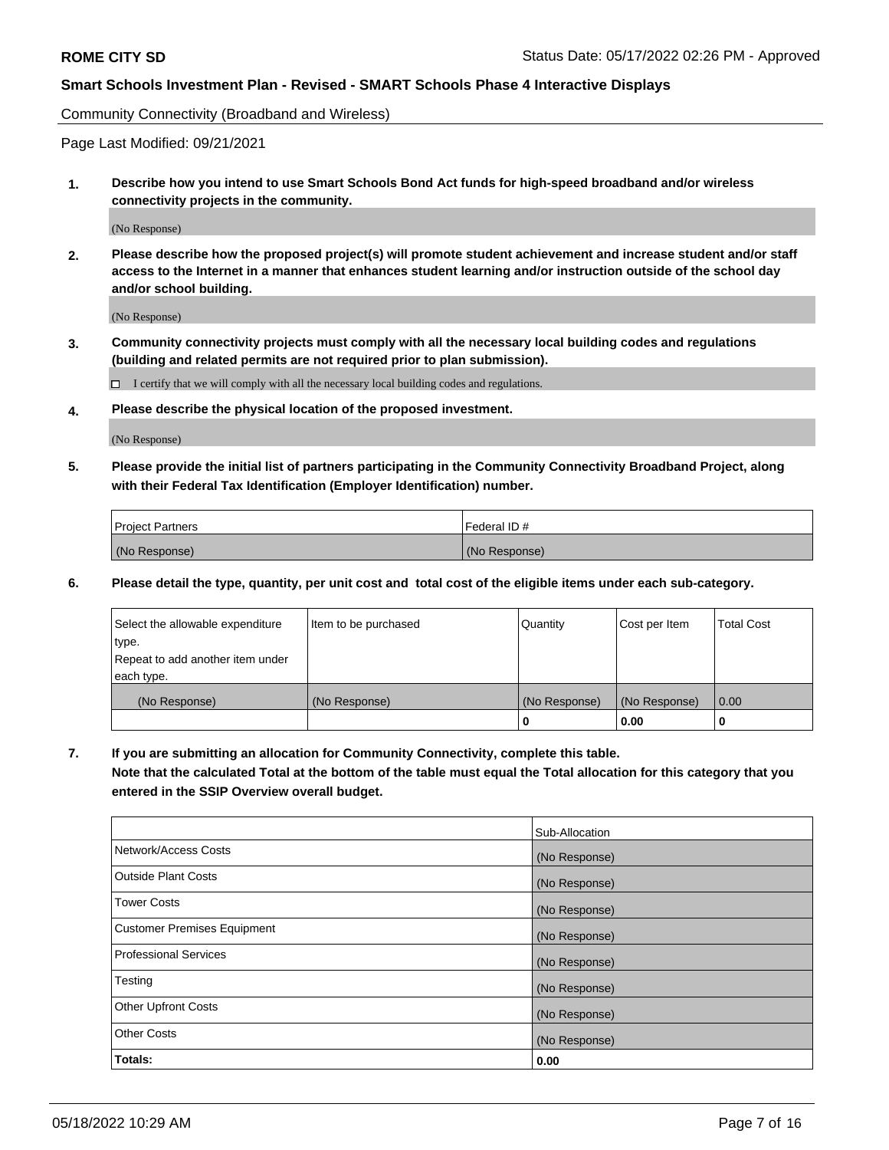Community Connectivity (Broadband and Wireless)

Page Last Modified: 09/21/2021

**1. Describe how you intend to use Smart Schools Bond Act funds for high-speed broadband and/or wireless connectivity projects in the community.**

(No Response)

**2. Please describe how the proposed project(s) will promote student achievement and increase student and/or staff access to the Internet in a manner that enhances student learning and/or instruction outside of the school day and/or school building.**

(No Response)

**3. Community connectivity projects must comply with all the necessary local building codes and regulations (building and related permits are not required prior to plan submission).**

 $\Box$  I certify that we will comply with all the necessary local building codes and regulations.

**4. Please describe the physical location of the proposed investment.**

(No Response)

**5. Please provide the initial list of partners participating in the Community Connectivity Broadband Project, along with their Federal Tax Identification (Employer Identification) number.**

| <b>Project Partners</b> | Federal ID#   |
|-------------------------|---------------|
| (No Response)           | (No Response) |

**6. Please detail the type, quantity, per unit cost and total cost of the eligible items under each sub-category.**

| Select the allowable expenditure          | Item to be purchased | Quantity      | Cost per Item | <b>Total Cost</b> |
|-------------------------------------------|----------------------|---------------|---------------|-------------------|
| type.<br>Repeat to add another item under |                      |               |               |                   |
| each type.                                |                      |               |               |                   |
| (No Response)                             | (No Response)        | (No Response) | (No Response) | 0.00              |
|                                           |                      | 0             | 0.00          |                   |

**7. If you are submitting an allocation for Community Connectivity, complete this table.**

**Note that the calculated Total at the bottom of the table must equal the Total allocation for this category that you entered in the SSIP Overview overall budget.**

|                              | Sub-Allocation |
|------------------------------|----------------|
| Network/Access Costs         | (No Response)  |
| <b>Outside Plant Costs</b>   | (No Response)  |
| Tower Costs                  | (No Response)  |
| Customer Premises Equipment  | (No Response)  |
| <b>Professional Services</b> | (No Response)  |
| Testing                      | (No Response)  |
| <b>Other Upfront Costs</b>   | (No Response)  |
| <b>Other Costs</b>           | (No Response)  |
| Totals:                      | 0.00           |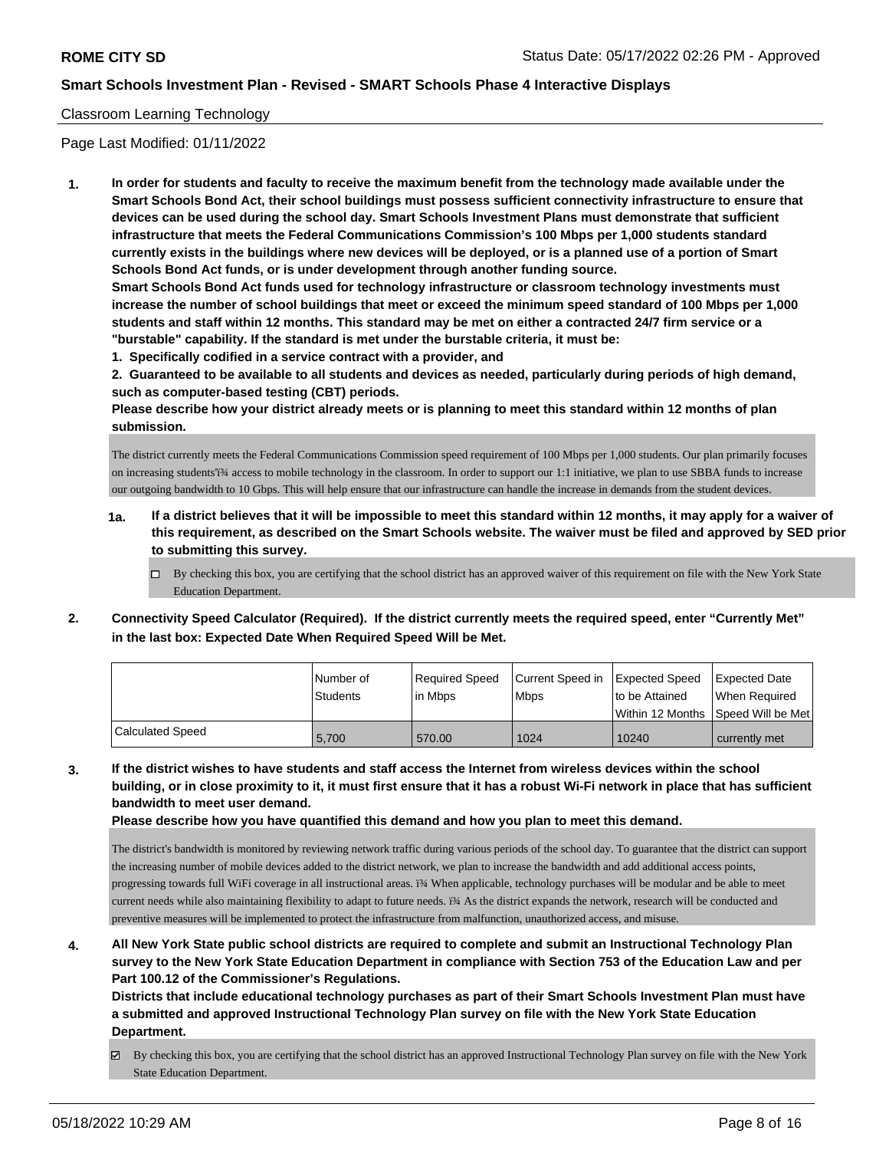### Classroom Learning Technology

Page Last Modified: 01/11/2022

**1. In order for students and faculty to receive the maximum benefit from the technology made available under the Smart Schools Bond Act, their school buildings must possess sufficient connectivity infrastructure to ensure that devices can be used during the school day. Smart Schools Investment Plans must demonstrate that sufficient infrastructure that meets the Federal Communications Commission's 100 Mbps per 1,000 students standard currently exists in the buildings where new devices will be deployed, or is a planned use of a portion of Smart Schools Bond Act funds, or is under development through another funding source.**

**Smart Schools Bond Act funds used for technology infrastructure or classroom technology investments must increase the number of school buildings that meet or exceed the minimum speed standard of 100 Mbps per 1,000 students and staff within 12 months. This standard may be met on either a contracted 24/7 firm service or a "burstable" capability. If the standard is met under the burstable criteria, it must be:**

**1. Specifically codified in a service contract with a provider, and**

**2. Guaranteed to be available to all students and devices as needed, particularly during periods of high demand, such as computer-based testing (CBT) periods.**

**Please describe how your district already meets or is planning to meet this standard within 12 months of plan submission.**

The district currently meets the Federal Communications Commission speed requirement of 100 Mbps per 1,000 students. Our plan primarily focuses on increasing students'i<sup>34</sup> access to mobile technology in the classroom. In order to support our 1:1 initiative, we plan to use SBBA funds to increase our outgoing bandwidth to 10 Gbps. This will help ensure that our infrastructure can handle the increase in demands from the student devices.

- **1a. If a district believes that it will be impossible to meet this standard within 12 months, it may apply for a waiver of this requirement, as described on the Smart Schools website. The waiver must be filed and approved by SED prior to submitting this survey.**
	- By checking this box, you are certifying that the school district has an approved waiver of this requirement on file with the New York State Education Department.
- **2. Connectivity Speed Calculator (Required). If the district currently meets the required speed, enter "Currently Met" in the last box: Expected Date When Required Speed Will be Met.**

|                         | l Number of<br><b>Students</b> | Required Speed<br>lin Mbps | Current Speed in Expected Speed<br><b>Mbps</b> | to be Attained<br>Within 12 Months ISpeed Will be Met | Expected Date<br>When Required |
|-------------------------|--------------------------------|----------------------------|------------------------------------------------|-------------------------------------------------------|--------------------------------|
| <b>Calculated Speed</b> | 5,700                          | 570.00                     | 1024                                           | 10240                                                 | currently met                  |

**3. If the district wishes to have students and staff access the Internet from wireless devices within the school building, or in close proximity to it, it must first ensure that it has a robust Wi-Fi network in place that has sufficient bandwidth to meet user demand.**

**Please describe how you have quantified this demand and how you plan to meet this demand.**

The district's bandwidth is monitored by reviewing network traffic during various periods of the school day. To guarantee that the district can support the increasing number of mobile devices added to the district network, we plan to increase the bandwidth and add additional access points, progressing towards full WiFi coverage in all instructional areas. i<sup>34</sup> When applicable, technology purchases will be modular and be able to meet current needs while also maintaining flexibility to adapt to future needs. ï¾ As the district expands the network, research will be conducted and preventive measures will be implemented to protect the infrastructure from malfunction, unauthorized access, and misuse.

**4. All New York State public school districts are required to complete and submit an Instructional Technology Plan survey to the New York State Education Department in compliance with Section 753 of the Education Law and per Part 100.12 of the Commissioner's Regulations.**

**Districts that include educational technology purchases as part of their Smart Schools Investment Plan must have a submitted and approved Instructional Technology Plan survey on file with the New York State Education Department.**

By checking this box, you are certifying that the school district has an approved Instructional Technology Plan survey on file with the New York State Education Department.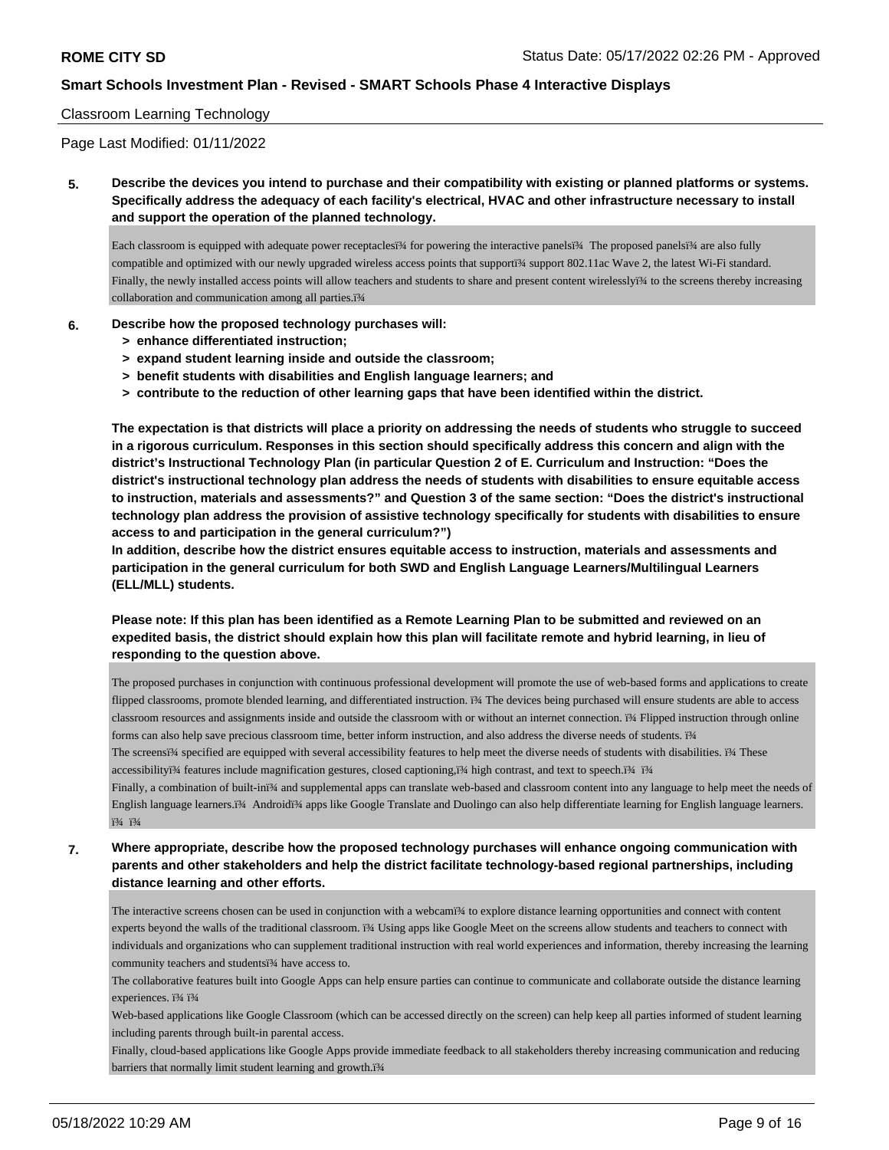### Classroom Learning Technology

Page Last Modified: 01/11/2022

**5. Describe the devices you intend to purchase and their compatibility with existing or planned platforms or systems. Specifically address the adequacy of each facility's electrical, HVAC and other infrastructure necessary to install and support the operation of the planned technology.**

Each classroom is equipped with adequate power receptaclesï¾ for powering the interactive panelsï¾ The proposed panelsï¾ are also fully compatible and optimized with our newly upgraded wireless access points that supporti¾ support 802.11ac Wave 2, the latest Wi-Fi standard. Finally, the newly installed access points will allow teachers and students to share and present content wirelesslyi¾ to the screens thereby increasing collaboration and communication among all parties.ï¾

# **6. Describe how the proposed technology purchases will:**

- **> enhance differentiated instruction;**
- **> expand student learning inside and outside the classroom;**
- **> benefit students with disabilities and English language learners; and**
- **> contribute to the reduction of other learning gaps that have been identified within the district.**

**The expectation is that districts will place a priority on addressing the needs of students who struggle to succeed in a rigorous curriculum. Responses in this section should specifically address this concern and align with the district's Instructional Technology Plan (in particular Question 2 of E. Curriculum and Instruction: "Does the district's instructional technology plan address the needs of students with disabilities to ensure equitable access to instruction, materials and assessments?" and Question 3 of the same section: "Does the district's instructional technology plan address the provision of assistive technology specifically for students with disabilities to ensure access to and participation in the general curriculum?")**

**In addition, describe how the district ensures equitable access to instruction, materials and assessments and participation in the general curriculum for both SWD and English Language Learners/Multilingual Learners (ELL/MLL) students.**

**Please note: If this plan has been identified as a Remote Learning Plan to be submitted and reviewed on an expedited basis, the district should explain how this plan will facilitate remote and hybrid learning, in lieu of responding to the question above.**

The proposed purchases in conjunction with continuous professional development will promote the use of web-based forms and applications to create flipped classrooms, promote blended learning, and differentiated instruction. ï¾ The devices being purchased will ensure students are able to access classroom resources and assignments inside and outside the classroom with or without an internet connection. ï¾ Flipped instruction through online forms can also help save precious classroom time, better inform instruction, and also address the diverse needs of students. ï¾

The screensï¾ specified are equipped with several accessibility features to help meet the diverse needs of students with disabilities. ï¾ These accessibilityï¾ features include magnification gestures, closed captioning,ï¾ high contrast, and text to speech.ï¾ ï¾

Finally, a combination of built-inï¾ and supplemental apps can translate web-based and classroom content into any language to help meet the needs of English language learners.ï¾ Androidï¾ apps like Google Translate and Duolingo can also help differentiate learning for English language learners. ï¾ ï¾

**7. Where appropriate, describe how the proposed technology purchases will enhance ongoing communication with parents and other stakeholders and help the district facilitate technology-based regional partnerships, including distance learning and other efforts.**

The interactive screens chosen can be used in conjunction with a webcami¾ to explore distance learning opportunities and connect with content experts beyond the walls of the traditional classroom. ï¾ Using apps like Google Meet on the screens allow students and teachers to connect with individuals and organizations who can supplement traditional instruction with real world experiences and information, thereby increasing the learning community teachers and studentsï¾ have access to.

The collaborative features built into Google Apps can help ensure parties can continue to communicate and collaborate outside the distance learning experiences. ï¾ ï¾

Web-based applications like Google Classroom (which can be accessed directly on the screen) can help keep all parties informed of student learning including parents through built-in parental access.

Finally, cloud-based applications like Google Apps provide immediate feedback to all stakeholders thereby increasing communication and reducing barriers that normally limit student learning and growth.ï<sup>3</sup>/4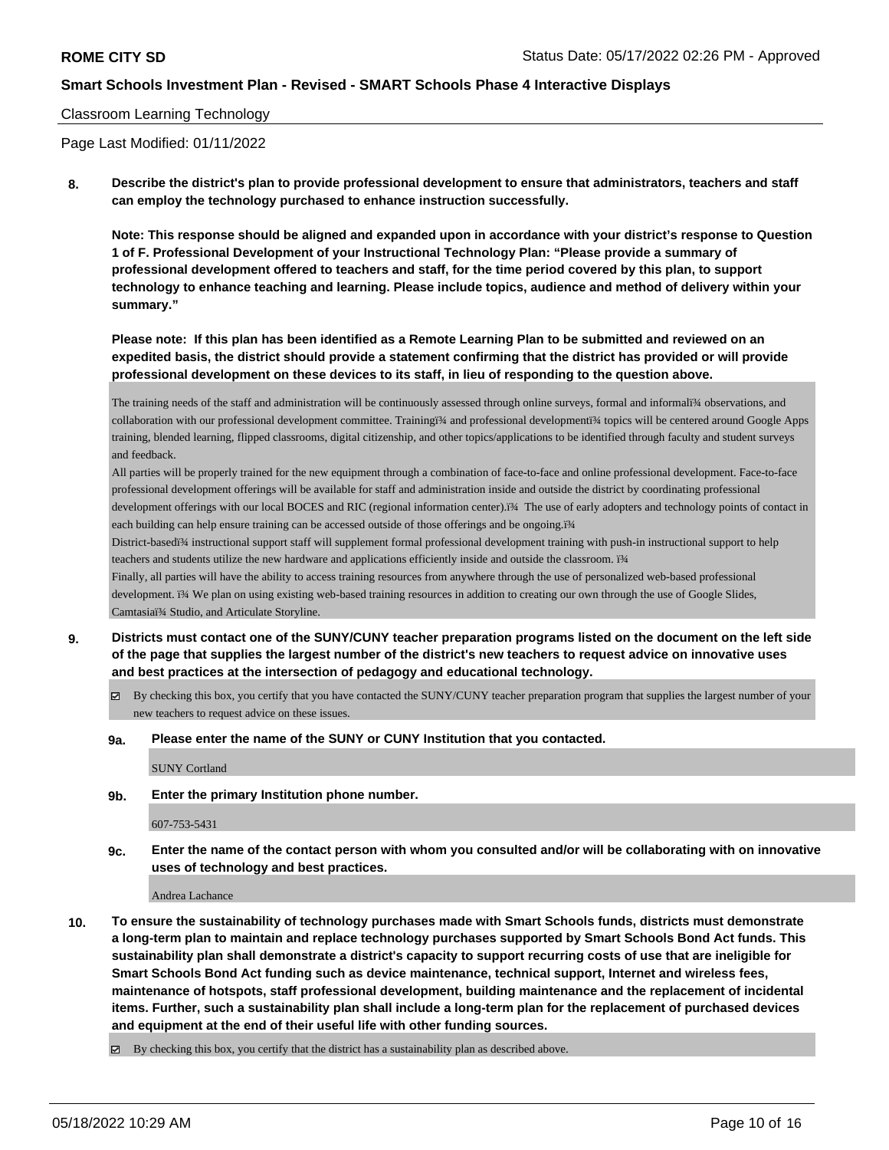### Classroom Learning Technology

Page Last Modified: 01/11/2022

**8. Describe the district's plan to provide professional development to ensure that administrators, teachers and staff can employ the technology purchased to enhance instruction successfully.**

**Note: This response should be aligned and expanded upon in accordance with your district's response to Question 1 of F. Professional Development of your Instructional Technology Plan: "Please provide a summary of professional development offered to teachers and staff, for the time period covered by this plan, to support technology to enhance teaching and learning. Please include topics, audience and method of delivery within your summary."**

**Please note: If this plan has been identified as a Remote Learning Plan to be submitted and reviewed on an expedited basis, the district should provide a statement confirming that the district has provided or will provide professional development on these devices to its staff, in lieu of responding to the question above.**

The training needs of the staff and administration will be continuously assessed through online surveys, formal and informali¾ observations, and collaboration with our professional development committee. Trainingï¾ and professional developmentï¾ topics will be centered around Google Apps training, blended learning, flipped classrooms, digital citizenship, and other topics/applications to be identified through faculty and student surveys and feedback.

All parties will be properly trained for the new equipment through a combination of face-to-face and online professional development. Face-to-face professional development offerings will be available for staff and administration inside and outside the district by coordinating professional development offerings with our local BOCES and RIC (regional information center).i¾ The use of early adopters and technology points of contact in each building can help ensure training can be accessed outside of those offerings and be ongoing.i<sup>3</sup>/4

District-basedï¾ instructional support staff will supplement formal professional development training with push-in instructional support to help teachers and students utilize the new hardware and applications efficiently inside and outside the classroom. i¾

Finally, all parties will have the ability to access training resources from anywhere through the use of personalized web-based professional development. i<sup>3</sup> We plan on using existing web-based training resources in addition to creating our own through the use of Google Slides, Camtasiaï¾ Studio, and Articulate Storyline.

- **9. Districts must contact one of the SUNY/CUNY teacher preparation programs listed on the document on the left side of the page that supplies the largest number of the district's new teachers to request advice on innovative uses and best practices at the intersection of pedagogy and educational technology.**
	- By checking this box, you certify that you have contacted the SUNY/CUNY teacher preparation program that supplies the largest number of your new teachers to request advice on these issues.
	- **9a. Please enter the name of the SUNY or CUNY Institution that you contacted.**

SUNY Cortland

**9b. Enter the primary Institution phone number.**

607-753-5431

**9c. Enter the name of the contact person with whom you consulted and/or will be collaborating with on innovative uses of technology and best practices.**

Andrea Lachance

- **10. To ensure the sustainability of technology purchases made with Smart Schools funds, districts must demonstrate a long-term plan to maintain and replace technology purchases supported by Smart Schools Bond Act funds. This sustainability plan shall demonstrate a district's capacity to support recurring costs of use that are ineligible for Smart Schools Bond Act funding such as device maintenance, technical support, Internet and wireless fees, maintenance of hotspots, staff professional development, building maintenance and the replacement of incidental items. Further, such a sustainability plan shall include a long-term plan for the replacement of purchased devices and equipment at the end of their useful life with other funding sources.**
	- $\boxtimes$  By checking this box, you certify that the district has a sustainability plan as described above.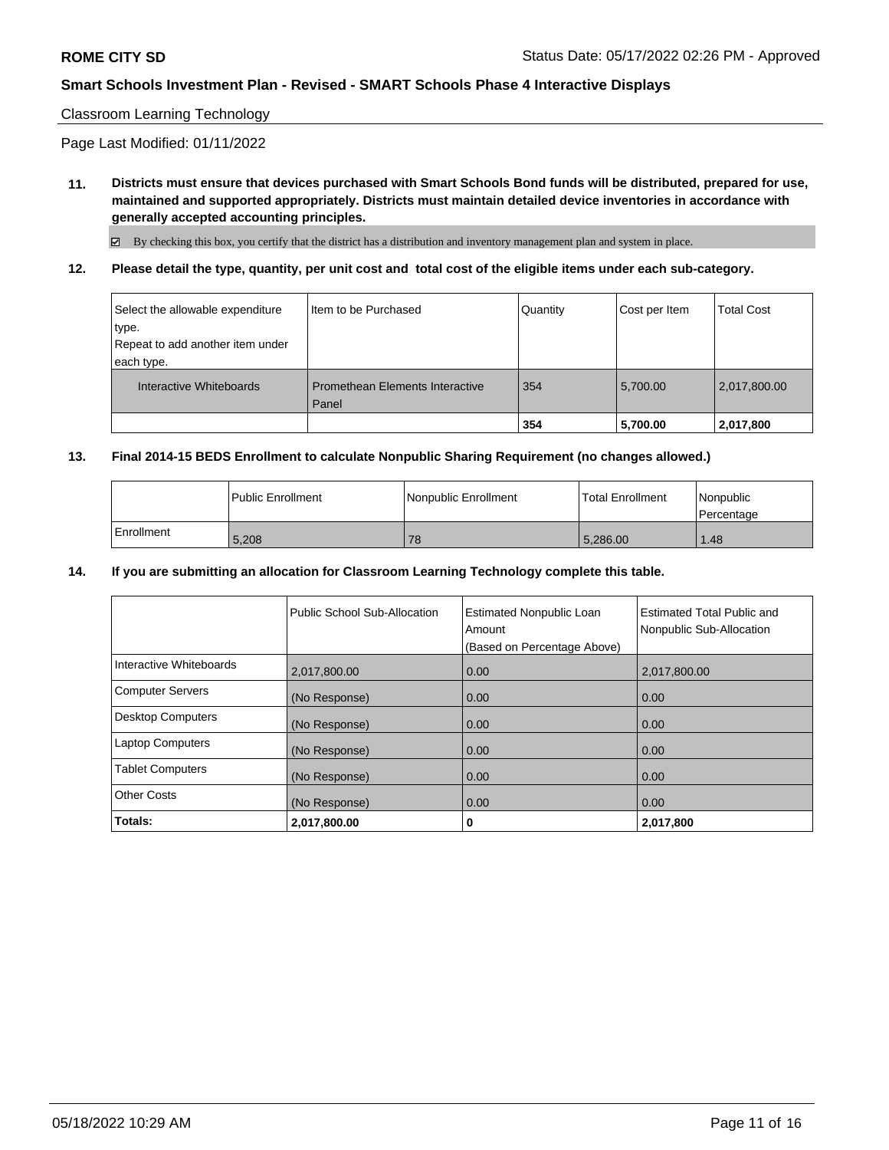### Classroom Learning Technology

Page Last Modified: 01/11/2022

**11. Districts must ensure that devices purchased with Smart Schools Bond funds will be distributed, prepared for use, maintained and supported appropriately. Districts must maintain detailed device inventories in accordance with generally accepted accounting principles.**

By checking this box, you certify that the district has a distribution and inventory management plan and system in place.

**12. Please detail the type, quantity, per unit cost and total cost of the eligible items under each sub-category.**

| Select the allowable expenditure<br>type.<br>Repeat to add another item under | I Item to be Purchased                 | Quantity | Cost per Item | <b>Total Cost</b> |
|-------------------------------------------------------------------------------|----------------------------------------|----------|---------------|-------------------|
| each type.                                                                    |                                        |          |               |                   |
| Interactive Whiteboards                                                       | <b>Promethean Elements Interactive</b> | 354      | 5,700.00      | 2,017,800.00      |
|                                                                               | Panel                                  | 354      | 5,700.00      | 2,017,800         |

#### **13. Final 2014-15 BEDS Enrollment to calculate Nonpublic Sharing Requirement (no changes allowed.)**

|            | l Public Enrollment | Nonpublic Enrollment | l Total Enrollment | <i>Nonpublic</i><br>Percentage |
|------------|---------------------|----------------------|--------------------|--------------------------------|
| Enrollment | 5,208               | 78                   | 5.286.00           | 1.48                           |

#### **14. If you are submitting an allocation for Classroom Learning Technology complete this table.**

|                         | Public School Sub-Allocation | <b>Estimated Nonpublic Loan</b><br>Amount<br>(Based on Percentage Above) | <b>Estimated Total Public and</b><br>Nonpublic Sub-Allocation |
|-------------------------|------------------------------|--------------------------------------------------------------------------|---------------------------------------------------------------|
| Interactive Whiteboards | 2,017,800.00                 | 0.00                                                                     | 2,017,800.00                                                  |
| Computer Servers        | (No Response)                | 0.00                                                                     | 0.00                                                          |
| Desktop Computers       | (No Response)                | 0.00                                                                     | 0.00                                                          |
| <b>Laptop Computers</b> | (No Response)                | 0.00                                                                     | 0.00                                                          |
| <b>Tablet Computers</b> | (No Response)                | 0.00                                                                     | 0.00                                                          |
| <b>Other Costs</b>      | (No Response)                | 0.00                                                                     | 0.00                                                          |
| Totals:                 | 2,017,800.00                 | 0                                                                        | 2,017,800                                                     |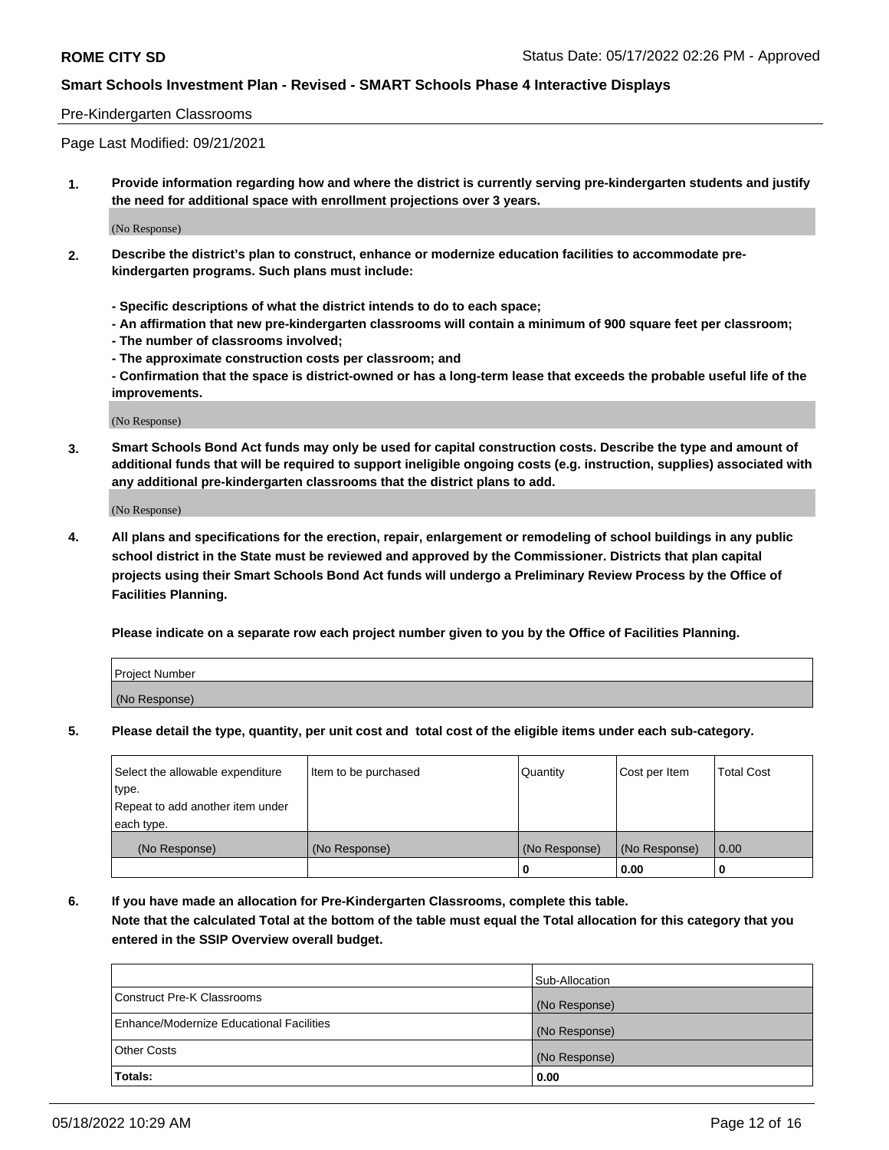### Pre-Kindergarten Classrooms

Page Last Modified: 09/21/2021

**1. Provide information regarding how and where the district is currently serving pre-kindergarten students and justify the need for additional space with enrollment projections over 3 years.**

(No Response)

- **2. Describe the district's plan to construct, enhance or modernize education facilities to accommodate prekindergarten programs. Such plans must include:**
	- **Specific descriptions of what the district intends to do to each space;**
	- **An affirmation that new pre-kindergarten classrooms will contain a minimum of 900 square feet per classroom;**
	- **The number of classrooms involved;**
	- **The approximate construction costs per classroom; and**
	- **Confirmation that the space is district-owned or has a long-term lease that exceeds the probable useful life of the improvements.**

(No Response)

**3. Smart Schools Bond Act funds may only be used for capital construction costs. Describe the type and amount of additional funds that will be required to support ineligible ongoing costs (e.g. instruction, supplies) associated with any additional pre-kindergarten classrooms that the district plans to add.**

(No Response)

**4. All plans and specifications for the erection, repair, enlargement or remodeling of school buildings in any public school district in the State must be reviewed and approved by the Commissioner. Districts that plan capital projects using their Smart Schools Bond Act funds will undergo a Preliminary Review Process by the Office of Facilities Planning.**

**Please indicate on a separate row each project number given to you by the Office of Facilities Planning.**

| Project Number |  |
|----------------|--|
| (No Response)  |  |

**5. Please detail the type, quantity, per unit cost and total cost of the eligible items under each sub-category.**

| Select the allowable expenditure | Item to be purchased | Quantity      | Cost per Item | <b>Total Cost</b> |
|----------------------------------|----------------------|---------------|---------------|-------------------|
| type.                            |                      |               |               |                   |
| Repeat to add another item under |                      |               |               |                   |
| each type.                       |                      |               |               |                   |
| (No Response)                    | (No Response)        | (No Response) | (No Response) | 0.00              |
|                                  |                      | 0             | 0.00          |                   |

**6. If you have made an allocation for Pre-Kindergarten Classrooms, complete this table.**

**Note that the calculated Total at the bottom of the table must equal the Total allocation for this category that you entered in the SSIP Overview overall budget.**

|                                          | Sub-Allocation |
|------------------------------------------|----------------|
| Construct Pre-K Classrooms               | (No Response)  |
| Enhance/Modernize Educational Facilities | (No Response)  |
| <b>Other Costs</b>                       | (No Response)  |
| Totals:                                  | 0.00           |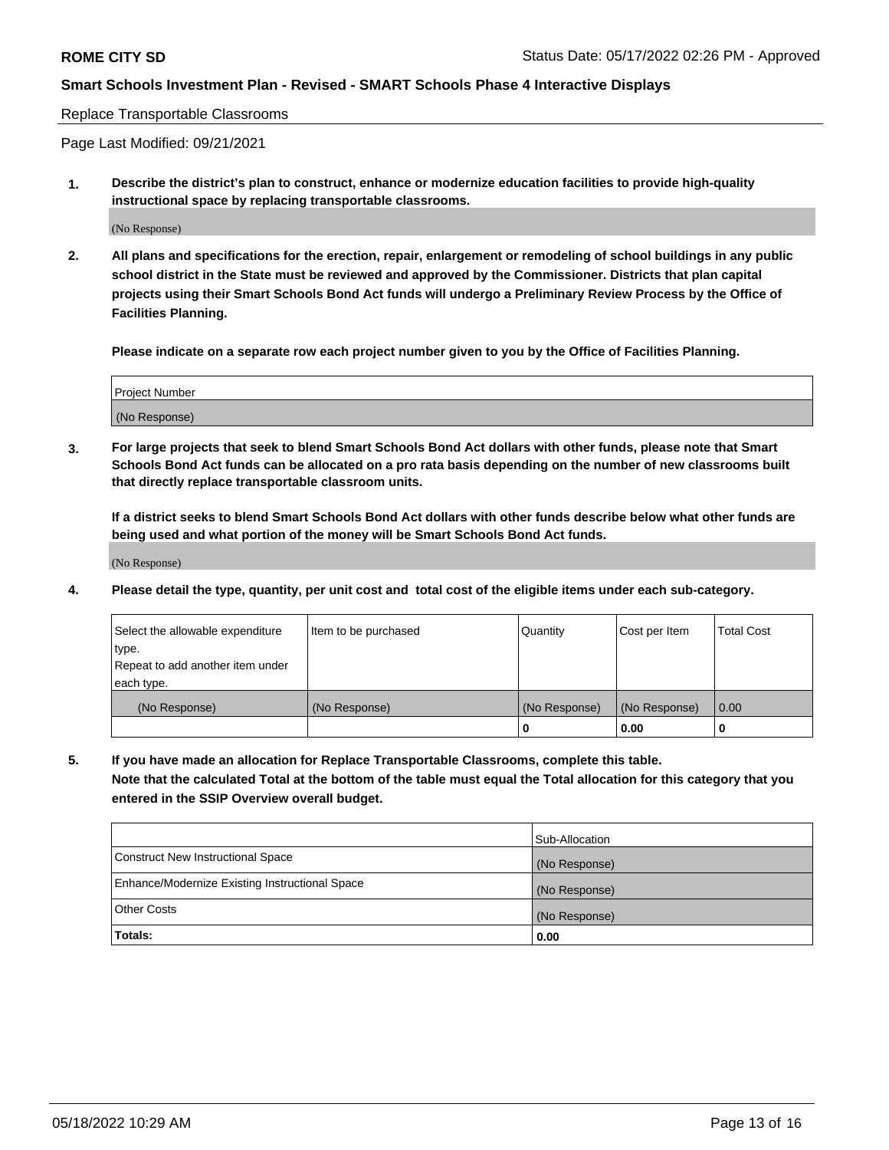#### Replace Transportable Classrooms

Page Last Modified: 09/21/2021

**1. Describe the district's plan to construct, enhance or modernize education facilities to provide high-quality instructional space by replacing transportable classrooms.**

(No Response)

**2. All plans and specifications for the erection, repair, enlargement or remodeling of school buildings in any public school district in the State must be reviewed and approved by the Commissioner. Districts that plan capital projects using their Smart Schools Bond Act funds will undergo a Preliminary Review Process by the Office of Facilities Planning.**

**Please indicate on a separate row each project number given to you by the Office of Facilities Planning.**

| <b>Project Number</b> |  |
|-----------------------|--|
| (No Response)         |  |

**3. For large projects that seek to blend Smart Schools Bond Act dollars with other funds, please note that Smart Schools Bond Act funds can be allocated on a pro rata basis depending on the number of new classrooms built that directly replace transportable classroom units.**

**If a district seeks to blend Smart Schools Bond Act dollars with other funds describe below what other funds are being used and what portion of the money will be Smart Schools Bond Act funds.**

(No Response)

**4. Please detail the type, quantity, per unit cost and total cost of the eligible items under each sub-category.**

| Select the allowable expenditure | Item to be purchased | Quantity      | Cost per Item | <b>Total Cost</b> |
|----------------------------------|----------------------|---------------|---------------|-------------------|
| type.                            |                      |               |               |                   |
| Repeat to add another item under |                      |               |               |                   |
| each type.                       |                      |               |               |                   |
| (No Response)                    | (No Response)        | (No Response) | (No Response) | 0.00              |
|                                  |                      | U             | 0.00          |                   |

**5. If you have made an allocation for Replace Transportable Classrooms, complete this table.**

**Note that the calculated Total at the bottom of the table must equal the Total allocation for this category that you entered in the SSIP Overview overall budget.**

|                                                | Sub-Allocation |
|------------------------------------------------|----------------|
| Construct New Instructional Space              | (No Response)  |
| Enhance/Modernize Existing Instructional Space | (No Response)  |
| <b>Other Costs</b>                             | (No Response)  |
| Totals:                                        | 0.00           |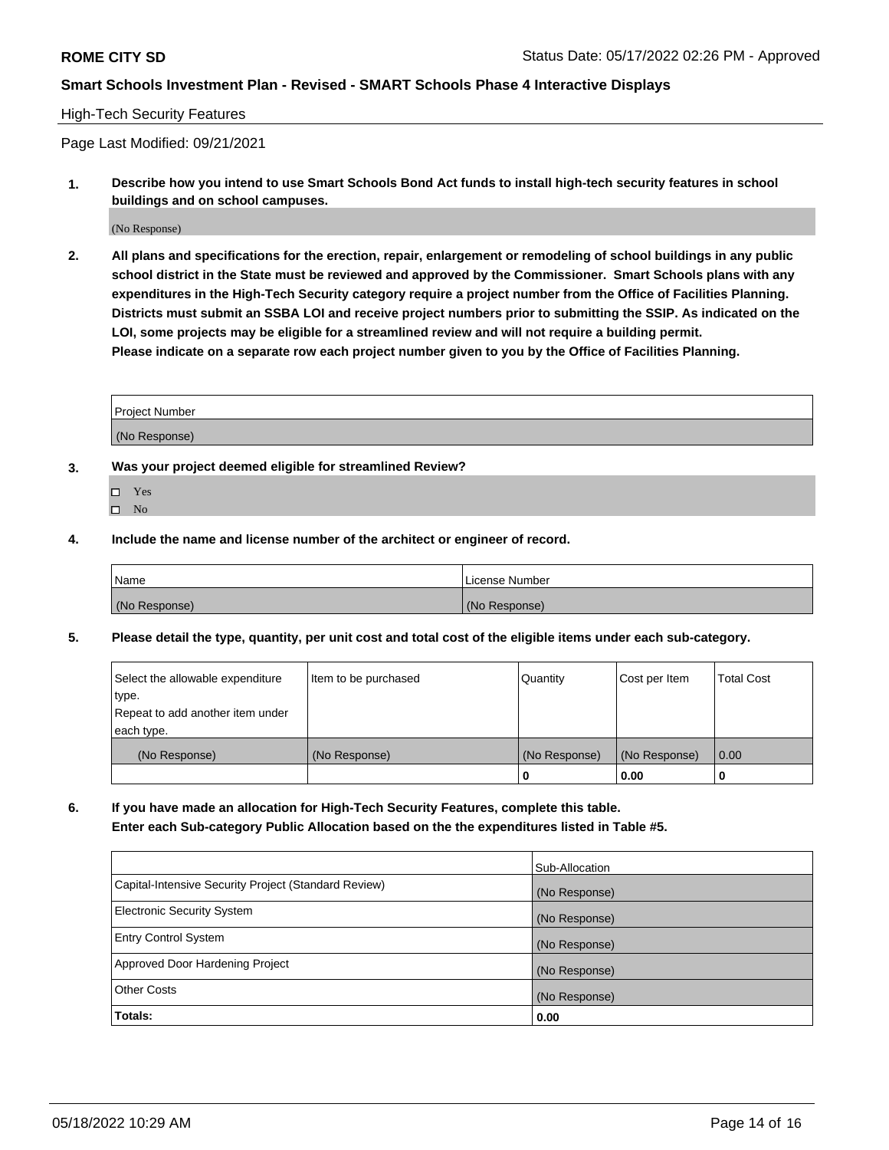### High-Tech Security Features

Page Last Modified: 09/21/2021

**1. Describe how you intend to use Smart Schools Bond Act funds to install high-tech security features in school buildings and on school campuses.**

(No Response)

**2. All plans and specifications for the erection, repair, enlargement or remodeling of school buildings in any public school district in the State must be reviewed and approved by the Commissioner. Smart Schools plans with any expenditures in the High-Tech Security category require a project number from the Office of Facilities Planning. Districts must submit an SSBA LOI and receive project numbers prior to submitting the SSIP. As indicated on the LOI, some projects may be eligible for a streamlined review and will not require a building permit. Please indicate on a separate row each project number given to you by the Office of Facilities Planning.**

| Project Number |  |
|----------------|--|
| (No Response)  |  |

- **3. Was your project deemed eligible for streamlined Review?**
	- Yes
	- $\square$  No
- **4. Include the name and license number of the architect or engineer of record.**

| Name          | License Number |
|---------------|----------------|
| (No Response) | (No Response)  |

**5. Please detail the type, quantity, per unit cost and total cost of the eligible items under each sub-category.**

| Select the allowable expenditure<br>type.<br>Repeat to add another item under | Item to be purchased | Quantity           | Cost per Item         | Total Cost |
|-------------------------------------------------------------------------------|----------------------|--------------------|-----------------------|------------|
| each type.                                                                    |                      |                    |                       |            |
| (No Response)                                                                 | (No Response)        | (No Response)<br>o | (No Response)<br>0.00 | 0.00       |

**6. If you have made an allocation for High-Tech Security Features, complete this table. Enter each Sub-category Public Allocation based on the the expenditures listed in Table #5.**

|                                                      | Sub-Allocation |
|------------------------------------------------------|----------------|
| Capital-Intensive Security Project (Standard Review) | (No Response)  |
| Electronic Security System                           | (No Response)  |
| <b>Entry Control System</b>                          | (No Response)  |
| Approved Door Hardening Project                      | (No Response)  |
| <b>Other Costs</b>                                   | (No Response)  |
| Totals:                                              | 0.00           |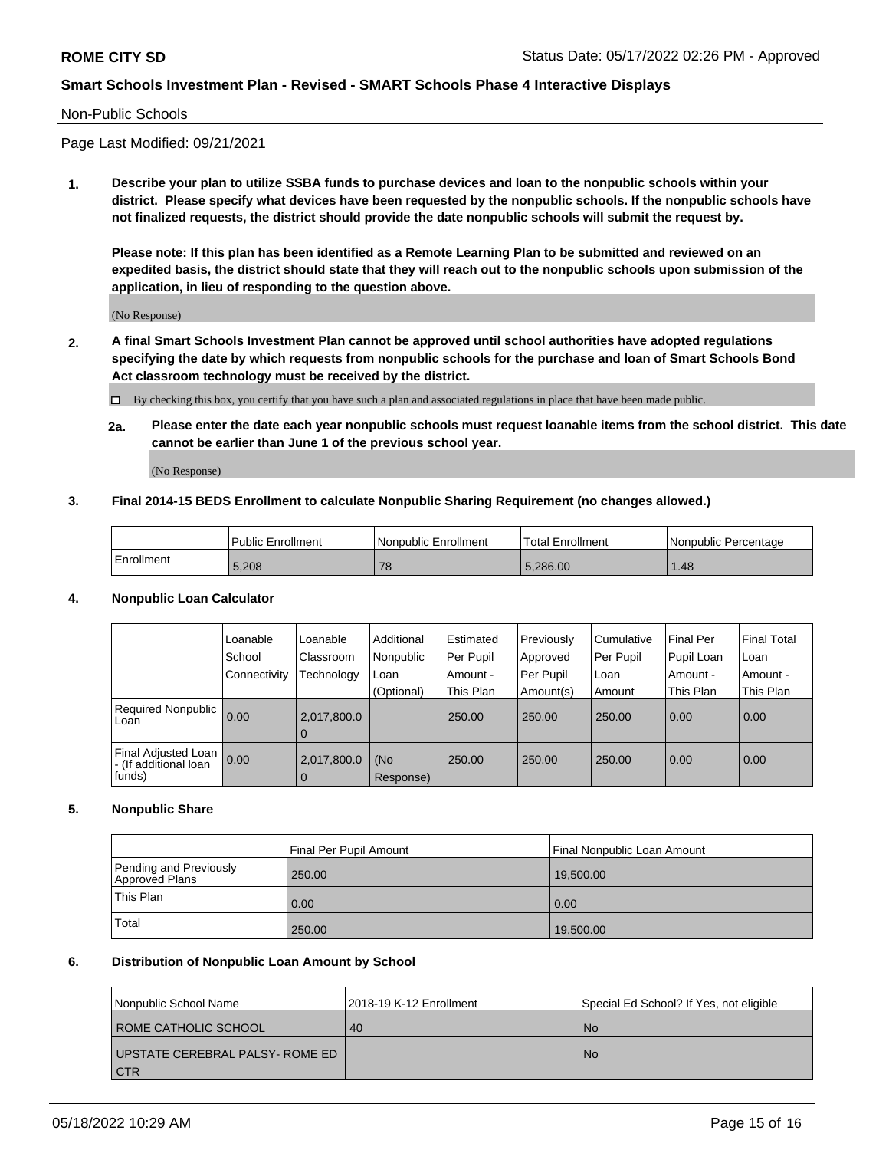#### Non-Public Schools

Page Last Modified: 09/21/2021

**1. Describe your plan to utilize SSBA funds to purchase devices and loan to the nonpublic schools within your district. Please specify what devices have been requested by the nonpublic schools. If the nonpublic schools have not finalized requests, the district should provide the date nonpublic schools will submit the request by.**

**Please note: If this plan has been identified as a Remote Learning Plan to be submitted and reviewed on an expedited basis, the district should state that they will reach out to the nonpublic schools upon submission of the application, in lieu of responding to the question above.**

(No Response)

- **2. A final Smart Schools Investment Plan cannot be approved until school authorities have adopted regulations specifying the date by which requests from nonpublic schools for the purchase and loan of Smart Schools Bond Act classroom technology must be received by the district.**
	- By checking this box, you certify that you have such a plan and associated regulations in place that have been made public.
	- **2a. Please enter the date each year nonpublic schools must request loanable items from the school district. This date cannot be earlier than June 1 of the previous school year.**

(No Response)

#### **3. Final 2014-15 BEDS Enrollment to calculate Nonpublic Sharing Requirement (no changes allowed.)**

|            | <b>Public Enrollment</b> | l Nonpublic Enrollment | <b>Total Enrollment</b> | l Nonpublic Percentage |  |
|------------|--------------------------|------------------------|-------------------------|------------------------|--|
| Enrollment | 5,208                    |                        | 5.286.00                | .48                    |  |

### **4. Nonpublic Loan Calculator**

|                                                        | Loanable<br>School<br>Connectivity | Loanable<br>Classroom<br>Technology | Additional<br>Nonpublic<br>Loan<br>(Optional) | <b>Estimated</b><br>Per Pupil<br>Amount -<br>This Plan | Previously<br>Approved<br>Per Pupil<br>Amount(s) | Cumulative<br>Per Pupil<br>Loan<br>Amount | <b>Final Per</b><br>Pupil Loan<br>Amount -<br>This Plan | l Final Total<br>l Loan<br>Amount -<br>This Plan |
|--------------------------------------------------------|------------------------------------|-------------------------------------|-----------------------------------------------|--------------------------------------------------------|--------------------------------------------------|-------------------------------------------|---------------------------------------------------------|--------------------------------------------------|
| <b>Required Nonpublic</b><br>Loan                      | 0.00                               | 2,017,800.0<br><b>U</b>             |                                               | 250.00                                                 | 250.00                                           | 250.00                                    | 0.00                                                    | 0.00                                             |
| Final Adjusted Loan<br>- (If additional loan<br>funds) | 0.00                               | 2,017,800.0<br>$\Omega$             | (No<br>Response)                              | 250.00                                                 | 250.00                                           | 250.00                                    | 0.00                                                    | 0.00                                             |

### **5. Nonpublic Share**

|           |                                          | Final Per Pupil Amount | Final Nonpublic Loan Amount |
|-----------|------------------------------------------|------------------------|-----------------------------|
|           | Pending and Previously<br>Approved Plans | 250.00                 | 19.500.00                   |
| This Plan |                                          | 0.00                   | 0.00                        |
| Total     |                                          | 250.00                 | 19,500.00                   |

# **6. Distribution of Nonpublic Loan Amount by School**

| l Nonpublic School Name                  | 2018-19 K-12 Enrollment | Special Ed School? If Yes, not eligible |
|------------------------------------------|-------------------------|-----------------------------------------|
| ROME CATHOLIC SCHOOL                     | 40                      | l No                                    |
| UPSTATE CEREBRAL PALSY- ROME ED<br>l CTR |                         | l No                                    |